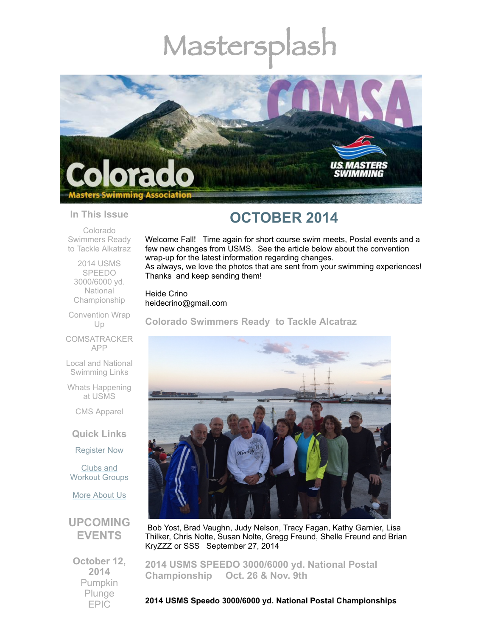# Mastersplash



#### **In This Issue**

Colorado [Swimmers](#page-0-0) Ready to Tackle Alkatraz

2014 USMS SPEEDO 3000/6000 yd. **National** [Championship](#page-0-1)

[Convention](#page-1-0) Wrap Up

**[COMSATRACKER](#page-3-0)** APP

Local and National [Swimming](#page-5-0) Links

Whats [Happening](#page-5-1) at USMS

CMS [Apparel](#page-5-2)

**Quick Links**

[Register](http://comsa.org/joining/index.html) Now

Clubs and [Workout](http://comsa.org/clubs/index.html) Groups

More [About](http://comsa.org/) Us

### **UPCOMING EVENTS**

**October 12, 2014** Pumpkin Plunge EPIC

## **OCTOBER 2014**

Welcome Fall! Time again for short course swim meets, Postal events and a few new changes from USMS. See the article below about the convention wrap-up for the latest information regarding changes.

As always, we love the photos that are sent from your swimming experiences! Thanks and keep sending them!

Heide Crino heidecrino@gmail.com

<span id="page-0-0"></span>**Colorado Swimmers Ready to Tackle Alcatraz**



Bob Yost, Brad Vaughn, Judy Nelson, Tracy Fagan, Kathy Garnier, Lisa Thilker, Chris Nolte, Susan Nolte, Gregg Freund, Shelle Freund and Brian KryZZZ or SSS September 27, 2014

<span id="page-0-1"></span>**2014 USMS SPEEDO 3000/6000 yd. National Postal Championship Oct. 26 & Nov. 9th**

**2014 USMS Speedo 3000/6000 yd. National Postal Championships**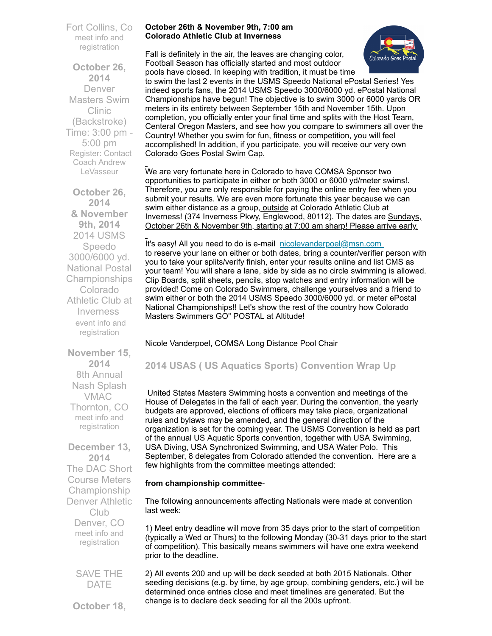Fort Collins, Co meet info and [registration](http://www.comsa.org/events/2014%20pool/2014FASTPumpkinPlunge.pdf)

**October 26, 2014** Denver Masters Swim Clinic (Backstroke) Time: 3:00 pm - 5:00 pm Register: Contact Coach Andrew [LeVasseur](mailto:swimmin4fun@msn.com)

**October 26, 2014 & November 9th, 2014** 2014 USMS Speedo 3000/6000 yd. National Postal Championships Colorado Athletic Club at **Inverness** event info and [registration](http://www.comsa.org/events/2014%20pool/2014%20USMS%20Speedo%203000.pdf)

**November 15, 2014** 8th Annual Nash Splash VMAC Thornton, CO meet info and [registration](http://www.comsa.org/events/2014%20pool/2014NashSplash.pdf)

**December 13, 2014** The DAC Short Course Meters Championship Denver Athletic **Club** Denver, CO meet info and [registration](http://www.comsa.org/events/2014%20pool/2014DACSCMChampionship.pdf)

> SAVE THE DATE

**October 18,**

#### **October 26th & November 9th, 7:00 am Colorado Athletic Club at Inverness**

Fall is definitely in the air, the leaves are changing color, Football Season has officially started and most outdoor pools have closed. In keeping with tradition, it must be time



to swim the last 2 events in the USMS Speedo National ePostal Series! Yes indeed sports fans, the 2014 USMS Speedo 3000/6000 yd. ePostal National Championships have begun! The objective is to swim 3000 or 6000 yards OR meters in its entirety between September 15th and November 15th. Upon completion, you officially enter your final time and splits with the Host Team, Centeral Oregon Masters, and see how you compare to swimmers all over the Country! Whether you swim for fun, fitness or competition, you will feel accomplished! In addition, if you participate, you will receive our very own Colorado Goes Postal Swim Cap.

We are very fortunate here in Colorado to have COMSA Sponsor two opportunities to participate in either or both 3000 or 6000 yd/meter swims!. Therefore, you are only responsible for paying the online entry fee when you submit your results. We are even more fortunate this year because we can swim either distance as a group, outside at Colorado Athletic Club at Inverness! (374 Inverness Pkwy, Englewood, 80112). The dates are Sundays, October 26th & November 9th, starting at 7:00 am sharp! Please arrive early.

It's easy! All you need to do is e-mail [nicolevanderpoel@msn.com](mailto:nicolevanderpoel@msn.com) to reserve your lane on either or both dates, bring a counter/verifier person with you to take your splits/verify finish, enter your results online and list CMS as your team! You will share a lane, side by side as no circle swimming is allowed. Clip Boards, split sheets, pencils, stop watches and entry information will be provided! Come on Colorado Swimmers, challenge yourselves and a friend to swim either or both the 2014 USMS Speedo 3000/6000 yd. or meter ePostal National Championships!! Let's show the rest of the country how Colorado Masters Swimmers GO" POSTAL at Altitude!

#### Nicole Vanderpoel, COMSA Long Distance Pool Chair

#### <span id="page-1-0"></span>**2014 USAS ( US Aquatics Sports) Convention Wrap Up**

United States Masters Swimming hosts a convention and meetings of the House of Delegates in the fall of each year. During the convention, the yearly budgets are approved, elections of officers may take place, organizational rules and bylaws may be amended, and the general direction of the organization is set for the coming year. The USMS Convention is held as part of the annual US Aquatic Sports convention, together with USA Swimming, USA Diving, USA Synchronized Swimming, and USA Water Polo. This September, 8 delegates from Colorado attended the convention. Here are a few highlights from the committee meetings attended:

#### **from championship committee**-

The following announcements affecting Nationals were made at convention last week:

1) Meet entry deadline will move from 35 days prior to the start of competition (typically a Wed or Thurs) to the following Monday (30-31 days prior to the start of competition). This basically means swimmers will have one extra weekend prior to the deadline.

2) All events 200 and up will be deck seeded at both 2015 Nationals. Other seeding decisions (e.g. by time, by age group, combining genders, etc.) will be determined once entries close and meet timelines are generated. But the change is to declare deck seeding for all the 200s upfront.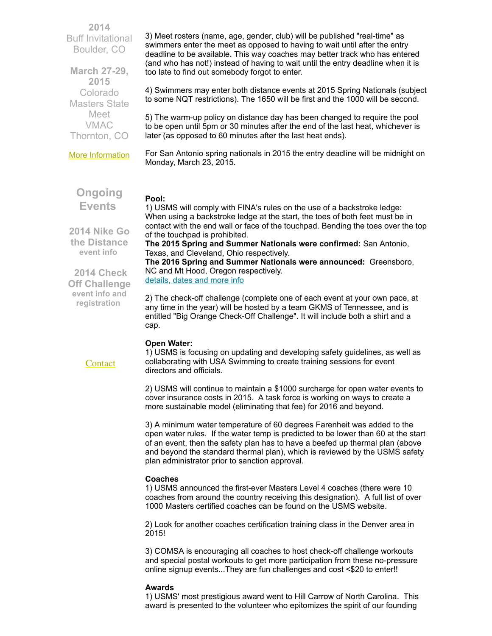**2014** Buff Invitational Boulder, CO

**March 27-29, 2015** Colorado Masters State Meet VMAC Thornton, CO

More [Information](http://www.comsa.org/)

**Ongoing Events**

3) Meet rosters (name, age, gender, club) will be published "real-time" as swimmers enter the meet as opposed to having to wait until after the entry deadline to be available. This way coaches may better track who has entered (and who has not!) instead of having to wait until the entry deadline when it is too late to find out somebody forgot to enter.

4) Swimmers may enter both distance events at 2015 Spring Nationals (subject to some NQT restrictions). The 1650 will be first and the 1000 will be second.

5) The warm-up policy on distance day has been changed to require the pool to be open until 5pm or 30 minutes after the end of the last heat, whichever is later (as opposed to 60 minutes after the last heat ends).

For San Antonio spring nationals in 2015 the entry deadline will be midnight on Monday, March 23, 2015.

#### **Pool:**

**2014 Nike Go the Distance [event](http://www.usms.org/fitness/content/gothedistance) info**

 **2014 Check Off Challenge event info and [registration](http://www.usms.org/fitness/content/checkoff)**

**[Contact](mailto:heidecrino@gmail.com?)** 

1) USMS will comply with FINA's rules on the use of a backstroke ledge: When using a backstroke ledge at the start, the toes of both feet must be in contact with the end wall or face of the touchpad. Bending the toes over the top of the touchpad is prohibited.

**The 2015 Spring and Summer Nationals were confirmed:** San Antonio, Texas, and Cleveland, Ohio respectively.

**The 2016 Spring and Summer Nationals were announced:** Greensboro, NC and Mt Hood, Oregon respectively. [details,](http://www.usms.org/comp/nationals.php?utm_campaign=top_nav&utm_medium=events_and_results) dates and more info

2) The check-off challenge (complete one of each event at your own pace, at any time in the year) will be hosted by a team GKMS of Tennessee, and is entitled "Big Orange Check-Off Challenge". It will include both a shirt and a cap.

#### **Open Water:**

1) USMS is focusing on updating and developing safety guidelines, as well as collaborating with USA Swimming to create training sessions for event directors and officials.

2) USMS will continue to maintain a \$1000 surcharge for open water events to cover insurance costs in 2015. A task force is working on ways to create a more sustainable model (eliminating that fee) for 2016 and beyond.

3) A minimum water temperature of 60 degrees Farenheit was added to the open water rules. If the water temp is predicted to be lower than 60 at the start of an event, then the safety plan has to have a beefed up thermal plan (above and beyond the standard thermal plan), which is reviewed by the USMS safety plan administrator prior to sanction approval.

#### **Coaches**

1) USMS announced the first-ever Masters Level 4 coaches (there were 10 coaches from around the country receiving this designation). A full list of over 1000 Masters certified coaches can be found on the USMS website.

2) Look for another coaches certification training class in the Denver area in 2015!

3) COMSA is encouraging all coaches to host check-off challenge workouts and special postal workouts to get more participation from these no-pressure online signup events...They are fun challenges and cost <\$20 to enter!!

#### **Awards**

1) USMS' most prestigious award went to Hill Carrow of North Carolina. This award is presented to the volunteer who epitomizes the spirit of our founding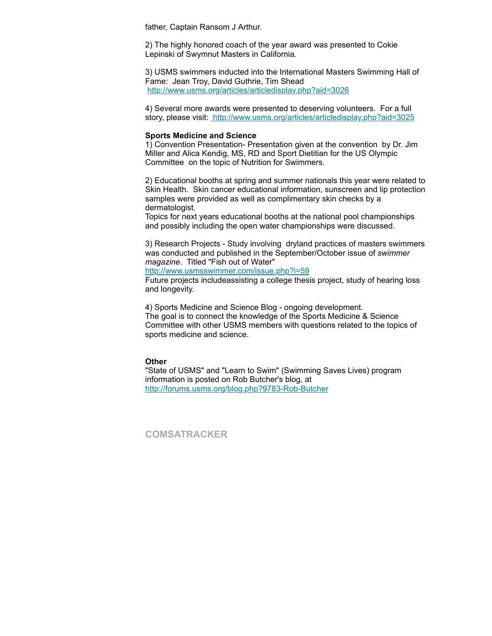father, Captain Ransom J Arthur.

2) The highly honored coach of the year award was presented to Cokie Lepinski of Swymnut Masters in California.

3) USMS swimmers inducted into the International Masters Swimming Hall of Fame: Jean Troy, David Guthrie, Tim Shead <http://www.usms.org/articles/articledisplay.php?aid=3026>

4) Several more awards were presented to deserving volunteers. For a full story, please visit: <http://www.usms.org/articles/articledisplay.php?aid=3025>

#### **Sports Medicine and Science**

1) Convention Presentation- Presentation given at the convention by Dr. Jim Miller and Alica Kendig, MS, RD and Sport Dietitian for the US Olympic Committee on the topic of Nutrition for Swimmers.

2) Educational booths at spring and summer nationals this year were related to Skin Health. Skin cancer educational information, sunscreen and lip protection samples were provided as well as complimentary skin checks by a dermatologist.

Topics for next years educational booths at the national pool championships and possibly including the open water championships were discussed.

3) Research Projects - Study involving dryland practices of masters swimmers was conducted and published in the September/October issue of *swimmer magazine*. Titled "Fish out of Water"

<http://www.usmsswimmer.com/issue.php?i=59>

Future projects includeassisting a college thesis project, study of hearing loss and longevity.

4) Sports Medicine and Science Blog - ongoing development. The goal is to connect the knowledge of the Sports Medicine & Science Committee with other USMS members with questions related to the topics of sports medicine and science.

#### **Other**

"State of USMS" and "Learn to Swim" (Swimming Saves Lives) program information is posted on Rob Butcher's blog, at <http://forums.usms.org/blog.php?9783-Rob-Butcher>

<span id="page-3-0"></span>**COMSATRACKER**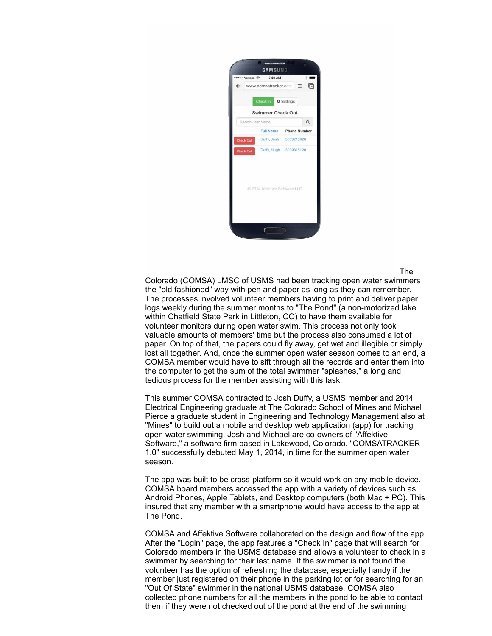

The

Colorado (COMSA) LMSC of USMS had been tracking open water swimmers the "old fashioned" way with pen and paper as long as they can remember. The processes involved volunteer members having to print and deliver paper logs weekly during the summer months to "The Pond" (a non-motorized lake within Chatfield State Park in Littleton, CO) to have them available for volunteer monitors during open water swim. This process not only took valuable amounts of members' time but the process also consumed a lot of paper. On top of that, the papers could fly away, get wet and illegible or simply lost all together. And, once the summer open water season comes to an end, a COMSA member would have to sift through all the records and enter them into the computer to get the sum of the total swimmer "splashes," a long and tedious process for the member assisting with this task.

This summer COMSA contracted to Josh Duffy, a USMS member and 2014 Electrical Engineering graduate at The Colorado School of Mines and Michael Pierce a graduate student in Engineering and Technology Management also at "Mines" to build out a mobile and desktop web application (app) for tracking open water swimming. Josh and Michael are co-owners of "Affektive Software," a software firm based in Lakewood, Colorado. "COMSATRACKER 1.0" successfully debuted May 1, 2014, in time for the summer open water season.

The app was built to be cross-platform so it would work on any mobile device. COMSA board members accessed the app with a variety of devices such as Android Phones, Apple Tablets, and Desktop computers (both Mac + PC). This insured that any member with a smartphone would have access to the app at The Pond.

COMSA and Affektive Software collaborated on the design and flow of the app. After the "Login" page, the app features a "Check In" page that will search for Colorado members in the USMS database and allows a volunteer to check in a swimmer by searching for their last name. If the swimmer is not found the volunteer has the option of refreshing the database; especially handy if the member just registered on their phone in the parking lot or for searching for an "Out Of State" swimmer in the national USMS database. COMSA also collected phone numbers for all the members in the pond to be able to contact them if they were not checked out of the pond at the end of the swimming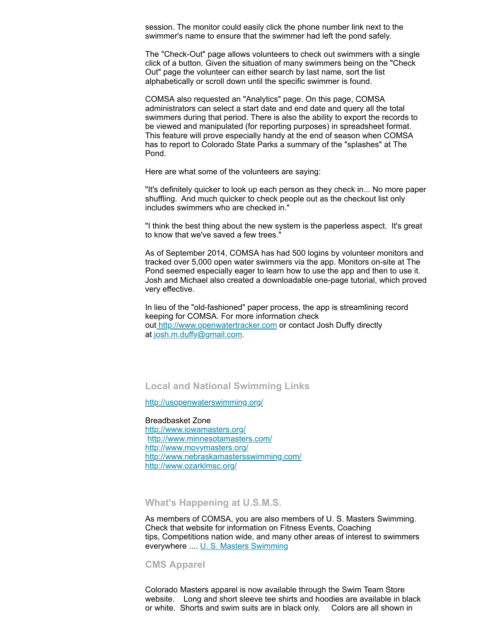session. The monitor could easily click the phone number link next to the swimmer's name to ensure that the swimmer had left the pond safely.

The "Check-Out" page allows volunteers to check out swimmers with a single click of a button. Given the situation of many swimmers being on the "Check Out" page the volunteer can either search by last name, sort the list alphabetically or scroll down until the specific swimmer is found.

COMSA also requested an "Analytics" page. On this page, COMSA administrators can select a start date and end date and query all the total swimmers during that period. There is also the ability to export the records to be viewed and manipulated (for reporting purposes) in spreadsheet format. This feature will prove especially handy at the end of season when COMSA has to report to Colorado State Parks a summary of the "splashes" at The Pond.

Here are what some of the volunteers are saying:

"It's definitely quicker to look up each person as they check in... No more paper shuffling. And much quicker to check people out as the checkout list only includes swimmers who are checked in."

"I think the best thing about the new system is the paperless aspect. It's great to know that we've saved a few trees."

As of September 2014, COMSA has had 500 logins by volunteer monitors and tracked over 5,000 open water swimmers via the app. Monitors on-site at The Pond seemed especially eager to learn how to use the app and then to use it. Josh and Michael also created a downloadable one-page tutorial, which proved very effective.

In lieu of the "old-fashioned" paper process, the app is streamlining record keeping for COMSA. For more information check out [http://www.openwatertracker.com](http://www.openwatertracker.com/) or contact Josh Duffy directly at [josh.m.duffy@gmail.com](mailto:josh.m.duffy@gmail.com).

#### <span id="page-5-0"></span>**Local and National Swimming Links**

<http://usopenwaterswimming.org/>

Breadbasket Zone <http://www.iowamasters.org/> <http://www.minnesotamasters.com/> <http://www.movymasters.org/> <http://www.nebraskamastersswimming.com/> <http://www.ozarklmsc.org/>

<span id="page-5-1"></span>**What's Happening at U.S.M.S.**

As members of COMSA, you are also members of U. S. Masters Swimming. Check that website for information on Fitness Events, Coaching tips, Competitions nation wide, and many other areas of interest to swimmers everywhere .... U. S. Masters [Swimming](http://www.usms.org/)

<span id="page-5-2"></span>**CMS Apparel**

Colorado Masters apparel is now available through the Swim Team Store website. Long and short sleeve tee shirts and hoodies are available in black or white. Shorts and swim suits are in black only. Colors are all shown in